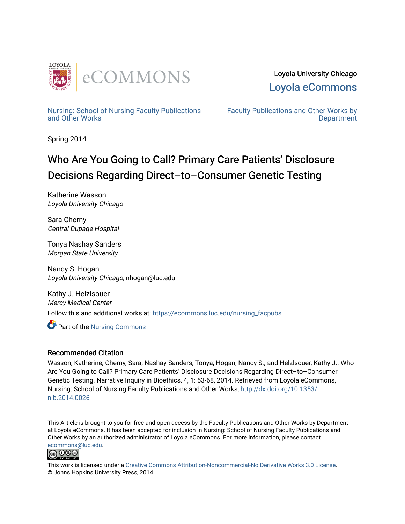

Loyola University Chicago [Loyola eCommons](https://ecommons.luc.edu/) 

[Nursing: School of Nursing Faculty Publications](https://ecommons.luc.edu/nursing_facpubs)  [and Other Works](https://ecommons.luc.edu/nursing_facpubs)

[Faculty Publications and Other Works by](https://ecommons.luc.edu/faculty)  **Department** 

Spring 2014

# Who Are You Going to Call? Primary Care Patients' Disclosure Decisions Regarding Direct–to–Consumer Genetic Testing

Katherine Wasson Loyola University Chicago

Sara Cherny Central Dupage Hospital

Tonya Nashay Sanders Morgan State University

Nancy S. Hogan Loyola University Chicago, nhogan@luc.edu

Kathy J. Helzlsouer Mercy Medical Center Follow this and additional works at: [https://ecommons.luc.edu/nursing\\_facpubs](https://ecommons.luc.edu/nursing_facpubs?utm_source=ecommons.luc.edu%2Fnursing_facpubs%2F9&utm_medium=PDF&utm_campaign=PDFCoverPages) 

Part of the [Nursing Commons](http://network.bepress.com/hgg/discipline/718?utm_source=ecommons.luc.edu%2Fnursing_facpubs%2F9&utm_medium=PDF&utm_campaign=PDFCoverPages) 

# Recommended Citation

Wasson, Katherine; Cherny, Sara; Nashay Sanders, Tonya; Hogan, Nancy S.; and Helzlsouer, Kathy J.. Who Are You Going to Call? Primary Care Patients' Disclosure Decisions Regarding Direct–to–Consumer Genetic Testing. Narrative Inquiry in Bioethics, 4, 1: 53-68, 2014. Retrieved from Loyola eCommons, Nursing: School of Nursing Faculty Publications and Other Works, [http://dx.doi.org/10.1353/](http://dx.doi.org/10.1353/nib.2014.0026) [nib.2014.0026](http://dx.doi.org/10.1353/nib.2014.0026) 

This Article is brought to you for free and open access by the Faculty Publications and Other Works by Department at Loyola eCommons. It has been accepted for inclusion in Nursing: School of Nursing Faculty Publications and Other Works by an authorized administrator of Loyola eCommons. For more information, please contact [ecommons@luc.edu](mailto:ecommons@luc.edu).



This work is licensed under a [Creative Commons Attribution-Noncommercial-No Derivative Works 3.0 License.](https://creativecommons.org/licenses/by-nc-nd/3.0/) © Johns Hopkins University Press, 2014.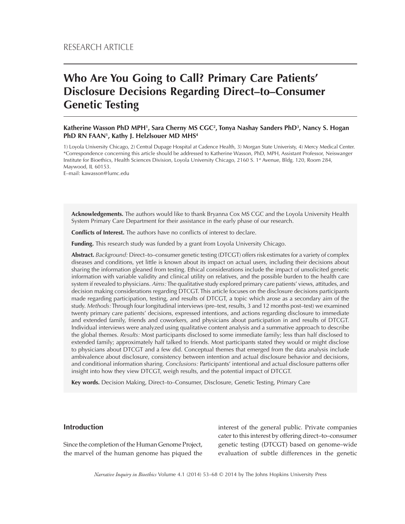# **Who Are You Going to Call? Primary Care Patients' Disclosure Decisions Regarding Direct–to–Consumer Genetic Testing**

## **Katherine Wasson PhD MPH1 , Sara Cherny MS CGC2 , Tonya Nashay Sanders PhD3 , Nancy S. Hogan PhD RN FAAN1 , Kathy J. Helzlsouer MD MHS4**

1) Loyola University Chicago, 2) Central Dupage Hospital at Cadence Health, 3) Morgan State Univeristy, 4) Mercy Medical Center. \*Correspondence concerning this article should be addressed to Katherine Wasson, PhD, MPH, Assistant Professor, Neiswanger Institute for Bioethics, Health Sciences Division, Loyola University Chicago, 2160 S. 1st Avenue, Bldg. 120, Room 284, Maywood, IL 60153.

E–mail: kawasson@lumc.edu

**Acknowledgements.** The authors would like to thank Bryanna Cox MS CGC and the Loyola University Health System Primary Care Department for their assistance in the early phase of our research.

**Conflicts of Interest.** The authors have no conflicts of interest to declare.

**Funding.** This research study was funded by a grant from Loyola University Chicago.

**Abstract.** *Background:* Direct–to–consumer genetic testing (DTCGT) offers risk estimates for a variety of complex diseases and conditions, yet little is known about its impact on actual users, including their decisions about sharing the information gleaned from testing. Ethical considerations include the impact of unsolicited genetic information with variable validity and clinical utility on relatives, and the possible burden to the health care system if revealed to physicians. *Aims:* The qualitative study explored primary care patients' views, attitudes, and decision making considerations regarding DTCGT. This article focuses on the disclosure decisions participants made regarding participation, testing, and results of DTCGT, a topic which arose as a secondary aim of the study. *Methods:* Through four longitudinal interviews (pre–test, results, 3 and 12 months post–test) we examined twenty primary care patients' decisions, expressed intentions, and actions regarding disclosure to immediate and extended family, friends and coworkers, and physicians about participation in and results of DTCGT. Individual interviews were analyzed using qualitative content analysis and a summative approach to describe the global themes. *Results:* Most participants disclosed to some immediate family; less than half disclosed to extended family; approximately half talked to friends. Most participants stated they would or might disclose to physicians about DTCGT and a few did. Conceptual themes that emerged from the data analysis include ambivalence about disclosure, consistency between intention and actual disclosure behavior and decisions, and conditional information sharing. *Conclusions:* Participants' intentional and actual disclosure patterns offer insight into how they view DTCGT, weigh results, and the potential impact of DTCGT.

**Key words.** Decision Making, Direct–to–Consumer, Disclosure, Genetic Testing, Primary Care

# **Introduction**

Since the completion of the Human Genome Project, the marvel of the human genome has piqued the interest of the general public. Private companies cater to this interest by offering direct–to–consumer genetic testing (DTCGT) based on genome–wide evaluation of subtle differences in the genetic

*Narrative Inquiry in Bioethics* Volume 4.1 (2014) 53–68 © 2014 by The Johns Hopkins University Press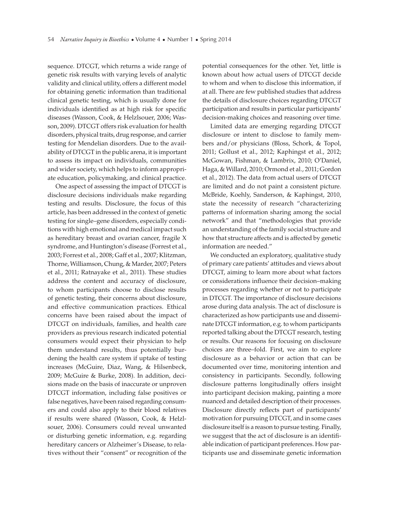sequence. DTCGT, which returns a wide range of genetic risk results with varying levels of analytic validity and clinical utility, offers a different model for obtaining genetic information than traditional clinical genetic testing, which is usually done for individuals identified as at high risk for specific diseases (Wasson, Cook, & Helzlsouer, 2006; Wasson, 2009). DTCGT offers risk evaluation for health disorders, physical traits, drug response, and carrier testing for Mendelian disorders. Due to the availability of DTCGT in the public arena, it is important to assess its impact on individuals, communities and wider society, which helps to inform appropriate education, policymaking, and clinical practice.

One aspect of assessing the impact of DTCGT is disclosure decisions individuals make regarding testing and results. Disclosure, the focus of this article, has been addressed in the context of genetic testing for single–gene disorders, especially conditions with high emotional and medical impact such as hereditary breast and ovarian cancer, fragile X syndrome, and Huntington's disease (Forrest et al., 2003; Forrest et al., 2008; Gaff et al., 2007; Klitzman, Thorne, Williamson, Chung, & Marder, 2007; Peters et al., 2011; Ratnayake et al., 2011). These studies address the content and accuracy of disclosure, to whom participants choose to disclose results of genetic testing, their concerns about disclosure, and effective communication practices. Ethical concerns have been raised about the impact of DTCGT on individuals, families, and health care providers as previous research indicated potential consumers would expect their physician to help them understand results, thus potentially burdening the health care system if uptake of testing increases (McGuire, Diaz, Wang, & Hilsenbeck, 2009; McGuire & Burke, 2008). In addition, decisions made on the basis of inaccurate or unproven DTCGT information, including false positives or false negatives, have been raised regarding consumers and could also apply to their blood relatives if results were shared (Wasson, Cook, & Helzlsouer, 2006). Consumers could reveal unwanted or disturbing genetic information, e.g. regarding hereditary cancers or Alzheimer's Disease, to relatives without their "consent" or recognition of the potential consequences for the other. Yet, little is known about how actual users of DTCGT decide to whom and when to disclose this information, if at all. There are few published studies that address the details of disclosure choices regarding DTCGT participation and results in particular participants' decision-making choices and reasoning over time.

Limited data are emerging regarding DTCGT disclosure or intent to disclose to family members and/or physicians (Bloss, Schork, & Topol, 2011; Gollust et al., 2012; Kaphingst et al., 2012; McGowan, Fishman, & Lambrix, 2010; O'Daniel, Haga, & Willard, 2010; Ormond et al., 2011; Gordon et al., 2012). The data from actual users of DTCGT are limited and do not paint a consistent picture. McBride, Koehly, Sanderson, & Kaphingst, 2010, state the necessity of research "characterizing patterns of information sharing among the social network" and that "methodologies that provide an understanding of the family social structure and how that structure affects and is affected by genetic information are needed."

We conducted an exploratory, qualitative study of primary care patients' attitudes and views about DTCGT, aiming to learn more about what factors or considerations influence their decision–making processes regarding whether or not to participate in DTCGT. The importance of disclosure decisions arose during data analysis. The act of disclosure is characterized as how participants use and disseminate DTCGT information, e.g. to whom participants reported talking about the DTCGT research, testing or results. Our reasons for focusing on disclosure choices are three–fold. First, we aim to explore disclosure as a behavior or action that can be documented over time, monitoring intention and consistency in participants. Secondly, following disclosure patterns longitudinally offers insight into participant decision making, painting a more nuanced and detailed description of their processes. Disclosure directly reflects part of participants' motivation for pursuing DTCGT, and in some cases disclosure itself is a reason to pursue testing. Finally, we suggest that the act of disclosure is an identifiable indication of participant preferences. How participants use and disseminate genetic information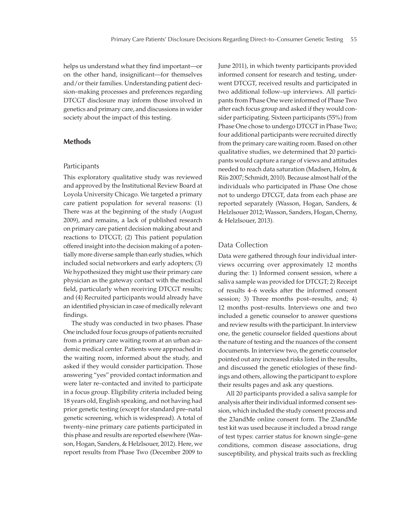helps us understand what they find important—or on the other hand, insignificant—for themselves and/or their families. Understanding patient decision–making processes and preferences regarding DTCGT disclosure may inform those involved in genetics and primary care, and discussions in wider society about the impact of this testing.

## **Methods**

#### Participants

This exploratory qualitative study was reviewed and approved by the Institutional Review Board at Loyola University Chicago. We targeted a primary care patient population for several reasons: (1) There was at the beginning of the study (August 2009), and remains, a lack of published research on primary care patient decision making about and reactions to DTCGT; (2) This patient population offered insight into the decision making of a potentially more diverse sample than early studies, which included social networkers and early adopters; (3) We hypothesized they might use their primary care physician as the gateway contact with the medical field, particularly when receiving DTCGT results; and (4) Recruited participants would already have an identified physician in case of medically relevant findings.

The study was conducted in two phases. Phase One included four focus groups of patients recruited from a primary care waiting room at an urban academic medical center. Patients were approached in the waiting room, informed about the study, and asked if they would consider participation. Those answering "yes" provided contact information and were later re–contacted and invited to participate in a focus group. Eligibility criteria included being 18 years old, English speaking, and not having had prior genetic testing (except for standard pre–natal genetic screening, which is widespread). A total of twenty–nine primary care patients participated in this phase and results are reported elsewhere (Wasson, Hogan, Sanders, & Helzlsouer, 2012). Here, we report results from Phase Two (December 2009 to

June 2011), in which twenty participants provided informed consent for research and testing, underwent DTCGT, received results and participated in two additional follow–up interviews. All participants from Phase One were informed of Phase Two after each focus group and asked if they would consider participating. Sixteen participants (55%) from Phase One chose to undergo DTCGT in Phase Two; four additional participants were recruited directly from the primary care waiting room. Based on other qualitative studies, we determined that 20 participants would capture a range of views and attitudes needed to reach data saturation (Madsen, Holm, & Riis 2007; Schmidt, 2010). Because almost half of the individuals who participated in Phase One chose not to undergo DTCGT, data from each phase are reported separately (Wasson, Hogan, Sanders, & Helzlsouer 2012; Wasson, Sanders, Hogan, Cherny, & Helzlsouer, 2013).

## Data Collection

Data were gathered through four individual interviews occurring over approximately 12 months during the: 1) Informed consent session, where a saliva sample was provided for DTCGT; 2) Receipt of results 4–6 weeks after the informed consent session; 3) Three months post–results, and; 4) 12 months post–results. Interviews one and two included a genetic counselor to answer questions and review results with the participant. In interview one, the genetic counselor fielded questions about the nature of testing and the nuances of the consent documents. In interview two, the genetic counselor pointed out any increased risks listed in the results, and discussed the genetic etiologies of these findings and others, allowing the participant to explore their results pages and ask any questions.

All 20 participants provided a saliva sample for analysis after their individual informed consent session, which included the study consent process and the 23andMe online consent form. The 23andMe test kit was used because it included a broad range of test types: carrier status for known single–gene conditions, common disease associations, drug susceptibility, and physical traits such as freckling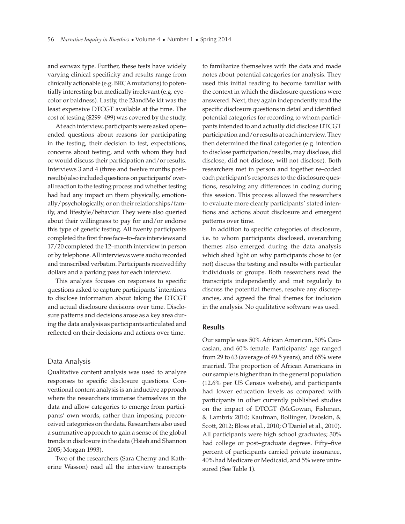and earwax type. Further, these tests have widely varying clinical specificity and results range from clinically actionable (e.g. BRCA mutations) to potentially interesting but medically irrelevant (e.g. eye– color or baldness). Lastly, the 23andMe kit was the least expensive DTCGT available at the time. The cost of testing (\$299–499) was covered by the study.

At each interview, participants were asked open– ended questions about reasons for participating in the testing, their decision to test, expectations, concerns about testing, and with whom they had or would discuss their participation and/or results. Interviews 3 and 4 (three and twelve months post– results) also included questions on participants' overall reaction to the testing process and whether testing had had any impact on them physically, emotionally/psychologically, or on their relationships/family, and lifestyle/behavior. They were also queried about their willingness to pay for and/or endorse this type of genetic testing. All twenty participants completed the first three face–to–face interviews and 17/20 completed the 12–month interview in person or by telephone. All interviews were audio recorded and transcribed verbatim. Participants received fifty dollars and a parking pass for each interview.

This analysis focuses on responses to specific questions asked to capture participants' intentions to disclose information about taking the DTCGT and actual disclosure decisions over time. Disclosure patterns and decisions arose as a key area during the data analysis as participants articulated and reflected on their decisions and actions over time.

#### Data Analysis

Qualitative content analysis was used to analyze responses to specific disclosure questions. Conventional content analysis is an inductive approach where the researchers immerse themselves in the data and allow categories to emerge from participants' own words, rather than imposing preconceived categories on the data. Researchers also used a summative approach to gain a sense of the global trends in disclosure in the data (Hsieh and Shannon 2005; Morgan 1993).

Two of the researchers (Sara Cherny and Katherine Wasson) read all the interview transcripts

to familiarize themselves with the data and made notes about potential categories for analysis. They used this initial reading to become familiar with the context in which the disclosure questions were answered. Next, they again independently read the specific disclosure questions in detail and identified potential categories for recording to whom participants intended to and actually did disclose DTCGT participation and/or results at each interview. They then determined the final categories (e.g. intention to disclose participation/results, may disclose, did disclose, did not disclose, will not disclose). Both researchers met in person and together re–coded each participant's responses to the disclosure questions, resolving any differences in coding during this session. This process allowed the researchers to evaluate more clearly participants' stated intentions and actions about disclosure and emergent patterns over time.

In addition to specific categories of disclosure, i.e. to whom participants disclosed, overarching themes also emerged during the data analysis which shed light on why participants chose to (or not) discuss the testing and results with particular individuals or groups. Both researchers read the transcripts independently and met regularly to discuss the potential themes, resolve any discrepancies, and agreed the final themes for inclusion in the analysis. No qualitative software was used.

### **Results**

Our sample was 50% African American, 50% Caucasian, and 60% female. Participants' age ranged from 29 to 63 (average of 49.5 years), and 65% were married. The proportion of African Americans in our sample is higher than in the general population (12.6% per US Census website), and participants had lower education levels as compared with participants in other currently published studies on the impact of DTCGT (McGowan, Fishman, & Lambrix 2010; Kaufman, Bollinger, Dvoskin, & Scott, 2012; Bloss et al., 2010; O'Daniel et al., 2010). All participants were high school graduates; 30% had college or post-graduate degrees. Fifty-five percent of participants carried private insurance, 40% had Medicare or Medicaid, and 5% were uninsured (See Table 1).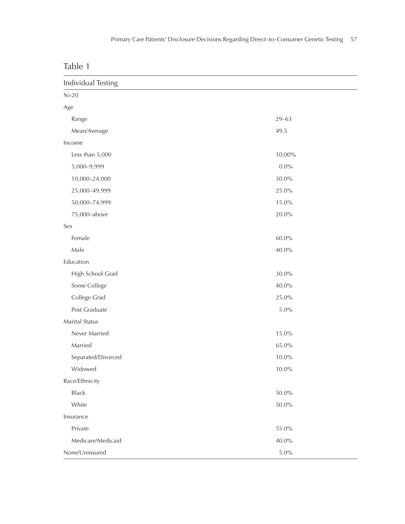| able |  |  |  |  |
|------|--|--|--|--|
|------|--|--|--|--|

| Individual Testing |           |
|--------------------|-----------|
| $N=20$             |           |
| Age                |           |
| Range              | $29 - 63$ |
| Mean/Average       | 49.5      |
| Income             |           |
| Less than 5,000    | 10.00%    |
| 5,000-9,999        | $0.0\%$   |
| 10,000-24,000      | $30.0\%$  |
| 25,000-49,999      | 25.0%     |
| 50,000-74,999      | 15.0%     |
| 75,000-above       | $20.0\%$  |
| Sex                |           |
| Female             | $60.0\%$  |
| Male               | $40.0\%$  |
| Education          |           |
| High School Grad   | $30.0\%$  |
| Some College       | $40.0\%$  |
| College Grad       | 25.0%     |
| Post Graduate      | $5.0\%$   |
| Marital Status     |           |
| Never Married      | 15.0%     |
| Married            | 65.0%     |
| Separated/Divorced | $10.0\%$  |
| Widowed            | $10.0\%$  |
| Race/Ethnicity     |           |
| <b>Black</b>       | $50.0\%$  |
| White              | $50.0\%$  |
| Insurance          |           |
| Private            | 55.0%     |
| Medicare/Medicaid  | 40.0%     |
| None/Uninsured     | $5.0\%$   |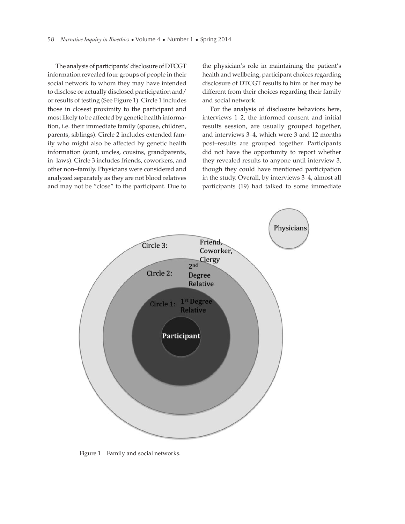The analysis of participants' disclosure of DTCGT information revealed four groups of people in their social network to whom they may have intended to disclose or actually disclosed participation and/ or results of testing (See Figure 1). Circle 1 includes those in closest proximity to the participant and most likely to be affected by genetic health information, i.e. their immediate family (spouse, children, parents, siblings). Circle 2 includes extended family who might also be affected by genetic health information (aunt, uncles, cousins, grandparents, in–laws). Circle 3 includes friends, coworkers, and other non–family. Physicians were considered and analyzed separately as they are not blood relatives and may not be "close" to the participant. Due to the physician's role in maintaining the patient's health and wellbeing, participant choices regarding disclosure of DTCGT results to him or her may be different from their choices regarding their family and social network.

For the analysis of disclosure behaviors here, interviews 1–2, the informed consent and initial results session, are usually grouped together, and interviews 3–4, which were 3 and 12 months post–results are grouped together. Participants did not have the opportunity to report whether they revealed results to anyone until interview 3, though they could have mentioned participation in the study. Overall, by interviews 3–4, almost all participants (19) had talked to some immediate



Figure 1 Family and social networks.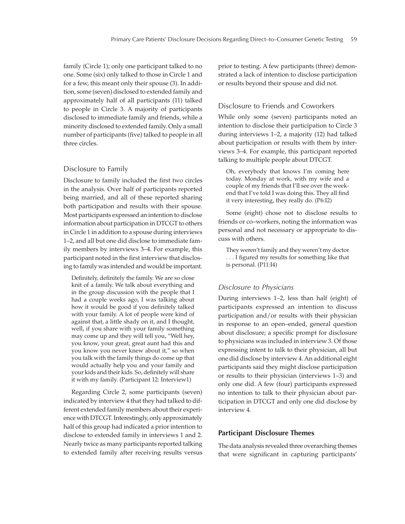family (Circle 1); only one participant talked to no one. Some (six) only talked to those in Circle 1 and for a few, this meant only their spouse (3). In addition, some (seven) disclosed to extended family and approximately half of all participants (11) talked to people in Circle 3. A majority of participants disclosed to immediate family and friends, while a minority disclosed to extended family. Only a small number of participants (five) talked to people in all three circles.

## Disclosure to Family

Disclosure to family included the first two circles in the analysis. Over half of participants reported being married, and all of these reported sharing both participation and results with their spouse. Most participants expressed an intention to disclose information about participation in DTCGT to others in Circle 1 in addition to a spouse during interviews 1–2, and all but one did disclose to immediate family members by interviews 3–4. For example, this participant noted in the first interview that disclosing to family was intended and would be important.

Definitely, definitely the family. We are so close knit of a family. We talk about everything and in the group discussion with the people that I had a couple weeks ago, I was talking about how it would be good if you definitely talked with your family. A lot of people were kind of against that, a little shady on it, and I thought, well, if you share with your family something may come up and they will tell you, "Well hey, you know, your great, great aunt had this and you know you never knew about it," so when you talk with the family things do come up that would actually help you and your family and your kids and their kids. So, definitely will share it with my family. (Participant 12: Interview1)

Regarding Circle 2, some participants (seven) indicated by interview 4 that they had talked to different extended family members about their experience with DTCGT. Interestingly, only approximately half of this group had indicated a prior intention to disclose to extended family in interviews 1 and 2. Nearly twice as many participants reported talking to extended family after receiving results versus

prior to testing. A few participants (three) demonstrated a lack of intention to disclose participation or results beyond their spouse and did not.

## Disclosure to Friends and Coworkers

While only some (seven) participants noted an intention to disclose their participation to Circle 3 during interviews 1–2, a majority (12) had talked about participation or results with them by interviews 3–4. For example, this participant reported talking to multiple people about DTCGT.

Oh, everybody that knows I'm coming here today. Monday at work, with my wife and a couple of my friends that I'll see over the weekend that I've told I was doing this. They all find it very interesting, they really do. (P6:I2)

Some (eight) chose not to disclose results to friends or co–workers, noting the information was personal and not necessary or appropriate to discuss with others.

They weren't family and they weren't my doctor ... I figured my results for something like that is personal. (P11:I4)

## *Disclosure to Physicians*

During interviews 1–2, less than half (eight) of participants expressed an intention to discuss participation and/or results with their physician in response to an open–ended, general question about disclosure; a specific prompt for disclosure to physicians was included in interview 3. Of those expressing intent to talk to their physician, all but one did disclose by interview 4. An additional eight participants said they might disclose participation or results to their physician (interviews 1–3) and only one did. A few (four) participants expressed no intention to talk to their physician about participation in DTCGT and only one did disclose by interview 4.

# **Participant Disclosure Themes**

The data analysis revealed three overarching themes that were significant in capturing participants'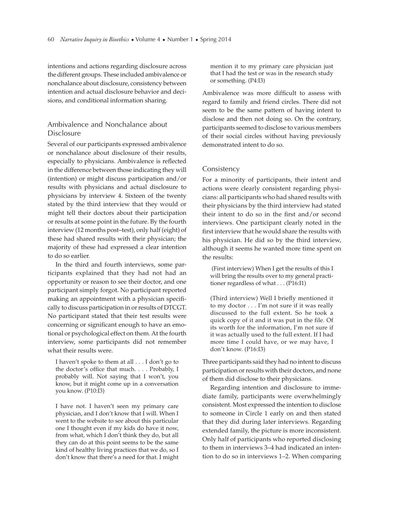intentions and actions regarding disclosure across the different groups. These included ambivalence or nonchalance about disclosure, consistency between intention and actual disclosure behavior and decisions, and conditional information sharing.

# Ambivalence and Nonchalance about Disclosure

Several of our participants expressed ambivalence or nonchalance about disclosure of their results, especially to physicians. Ambivalence is reflected in the difference between those indicating they will (intention) or might discuss participation and/or results with physicians and actual disclosure to physicians by interview 4. Sixteen of the twenty stated by the third interview that they would or might tell their doctors about their participation or results at some point in the future. By the fourth interview (12 months post–test), only half (eight) of these had shared results with their physician; the majority of these had expressed a clear intention to do so earlier.

In the third and fourth interviews, some participants explained that they had not had an opportunity or reason to see their doctor, and one participant simply forgot. No participant reported making an appointment with a physician specifically to discuss participation in or results of DTCGT. No participant stated that their test results were concerning or significant enough to have an emotional or psychological effect on them. At the fourth interview, some participants did not remember what their results were.

I haven't spoke to them at all . . . I don't go to the doctor's office that much. . . . Probably, I probably will. Not saying that I won't, you know, but it might come up in a conversation you know. (P10:I3)

I have not. I haven't seen my primary care physician, and I don't know that I will. When I went to the website to see about this particular one I thought even if my kids do have it now, from what, which I don't think they do, but all they can do at this point seems to be the same kind of healthy living practices that we do, so I don't know that there's a need for that. I might mention it to my primary care physician just that I had the test or was in the research study or something. (P4:I3)

Ambivalence was more difficult to assess with regard to family and friend circles. There did not seem to be the same pattern of having intent to disclose and then not doing so. On the contrary, participants seemed to disclose to various members of their social circles without having previously demonstrated intent to do so.

### Consistency

For a minority of participants, their intent and actions were clearly consistent regarding physicians: all participants who had shared results with their physicians by the third interview had stated their intent to do so in the first and/or second interviews. One participant clearly noted in the first interview that he would share the results with his physician. He did so by the third interview, although it seems he wanted more time spent on the results:

 (First interview) When I get the results of this I will bring the results over to my general practitioner regardless of what . . . (P16:I1)

(Third interview) Well I briefly mentioned it to my doctor . . . I'm not sure if it was really discussed to the full extent. So he took a quick copy of it and it was put in the file. Of its worth for the information, I'm not sure if it was actually used to the full extent. If I had more time I could have, or we may have, I don't know. (P16:I3)

Three participants said they had no intent to discuss participation or results with their doctors, and none of them did disclose to their physicians.

Regarding intention and disclosure to immediate family, participants were overwhelmingly consistent. Most expressed the intention to disclose to someone in Circle 1 early on and then stated that they did during later interviews. Regarding extended family, the picture is more inconsistent. Only half of participants who reported disclosing to them in interviews 3–4 had indicated an intention to do so in interviews 1–2. When comparing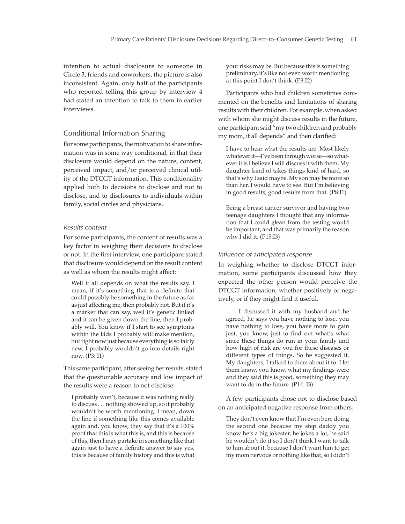intention to actual disclosure to someone in Circle 3, friends and coworkers, the picture is also inconsistent. Again, only half of the participants who reported telling this group by interview 4 had stated an intention to talk to them in earlier interviews.

## Conditional Information Sharing

For some participants, the motivation to share information was in some way conditional, in that their disclosure would depend on the nature, content, perceived impact, and/or perceived clinical utility of the DTCGT information. This conditionality applied both to decisions to disclose and not to disclose, and to disclosures to individuals within family, social circles and physicians.

#### *Results content*

For some participants, the content of results was a key factor in weighing their decisions to disclose or not. In the first interview, one participant stated that disclosure would depend on the result content as well as whom the results might affect:

Well it all depends on what the results say. I mean, if it's something that is a definite that could possibly be something in the future as far as just affecting me, then probably not. But if it's a marker that can say, well it's genetic linked and it can be given down the line, then I probably will. You know if I start to see symptoms within the kids I probably will make mention, but right now just because everything is so fairly new, I probably wouldn't go into details right now. (P3: I1)

This same participant, after seeing her results, stated that the questionable accuracy and low impact of the results were a reason to not disclose:

I probably won't, because it was nothing really to discuss . . . nothing showed up, so it probably wouldn't be worth mentioning. I mean, down the line if something like this comes available again and, you know, they say that it's a 100% proof that this is what this is, and this is because of this, then I may partake in something like that again just to have a definite answer to say yes, this is because of family history and this is what

your risks may be. But because this is something preliminary, it's like not even worth mentioning at this point I don't think. (P3:I2)

Participants who had children sometimes commented on the benefits and limitations of sharing results with their children. For example, when asked with whom she might discuss results in the future, one participant said "my two children and probably my mom, it all depends" and then clarified:

I have to hear what the results are. Most likely whatever it—I've been through worse—so whatever it is I believe I will discuss it with them. My daughter kind of takes things kind of hard, so that's why I said maybe. My son may be more so than her. I would have to see. But I'm believing in good results, good results from that. (P8:I1)

Being a breast cancer survivor and having two teenage daughters I thought that any information that I could glean from the testing would be important, and that was primarily the reason why I did it. (P15:I3)

#### *Infl uence of anticipated response*

In weighing whether to disclose DTCGT information, some participants discussed how they expected the other person would perceive the DTCGT information, whether positively or negatively, or if they might find it useful.

. . . I discussed it with my husband and he agreed, he says you have nothing to lose, you have nothing to lose, you have more to gain just, you know, just to find out what's what since these things do run in your family and how high of risk are you for these diseases or different types of things. So he suggested it. My daughters, I talked to them about it to. I let them know, you know, what my findings were and they said this is good, something they may want to do in the future. (P14: I3)

A few participants chose not to disclose based on an anticipated negative response from others.

They don't even know that I'm even here doing the second one because my step daddy you know he's a big jokester, he jokes a lot, he said he wouldn't do it so I don't think I want to talk to him about it, because I don't want him to get my mom nervous or nothing like that, so I didn't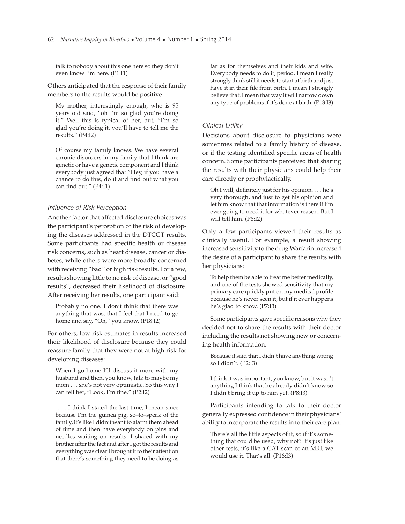talk to nobody about this one here so they don't even know I'm here. (P1:I1)

Others anticipated that the response of their family members to the results would be positive.

My mother, interestingly enough, who is 95 years old said, "oh I'm so glad you're doing it." Well this is typical of her, but, "I'm so glad you're doing it, you'll have to tell me the results." (P4:I2)

Of course my family knows. We have several chronic disorders in my family that I think are genetic or have a genetic component and I think everybody just agreed that "Hey, if you have a chance to do this, do it and find out what you can find out."  $(P4:11)$ 

## *Infl uence of Risk Perception*

Another factor that affected disclosure choices was the participant's perception of the risk of developing the diseases addressed in the DTCGT results. Some participants had specific health or disease risk concerns, such as heart disease, cancer or diabetes, while others were more broadly concerned with receiving "bad" or high risk results. For a few, results showing little to no risk of disease, or "good results", decreased their likelihood of disclosure. After receiving her results, one participant said:

Probably no one. I don't think that there was anything that was, that I feel that I need to go home and say, "Oh," you know. (P18:I2)

For others, low risk estimates in results increased their likelihood of disclosure because they could reassure family that they were not at high risk for developing diseases:

When I go home I'll discuss it more with my husband and then, you know, talk to maybe my mom . . . she's not very optimistic. So this way I can tell her, "Look, I'm fine." (P2:I2)

 . . . I think I stated the last time, I mean since because I'm the guinea pig, so–to–speak of the family, it's like I didn't want to alarm them ahead of time and then have everybody on pins and needles waiting on results. I shared with my brother after the fact and after I got the results and everything was clear I brought it to their attention that there's something they need to be doing as

far as for themselves and their kids and wife. Everybody needs to do it, period. I mean I really strongly think still it needs to start at birth and just have it in their file from birth. I mean I strongly believe that. I mean that way it will narrow down any type of problems if it's done at birth. (P13:I3)

## *Clinical Utility*

Decisions about disclosure to physicians were sometimes related to a family history of disease, or if the testing identified specific areas of health concern. Some participants perceived that sharing the results with their physicians could help their care directly or prophylactically.

Oh I will, definitely just for his opinion.  $\dots$  he's very thorough, and just to get his opinion and let him know that that information is there if I'm ever going to need it for whatever reason. But I will tell him. (P6:I2)

Only a few participants viewed their results as clinically useful. For example, a result showing increased sensitivity to the drug Warfarin increased the desire of a participant to share the results with her physicians:

To help them be able to treat me better medically, and one of the tests showed sensitivity that my primary care quickly put on my medical profile because he's never seen it, but if it ever happens he's glad to know. (P7:I3)

Some participants gave specific reasons why they decided not to share the results with their doctor including the results not showing new or concerning health information.

Because it said that I didn't have anything wrong so I didn't. (P2:I3)

I think it was important, you know, but it wasn't anything I think that he already didn't know so I didn't bring it up to him yet. (P8:I3)

Participants intending to talk to their doctor generally expressed confidence in their physicians' ability to incorporate the results in to their care plan.

There's all the little aspects of it, so if it's something that could be used, why not? It's just like other tests, it's like a CAT scan or an MRI, we would use it. That's all. (P16:I3)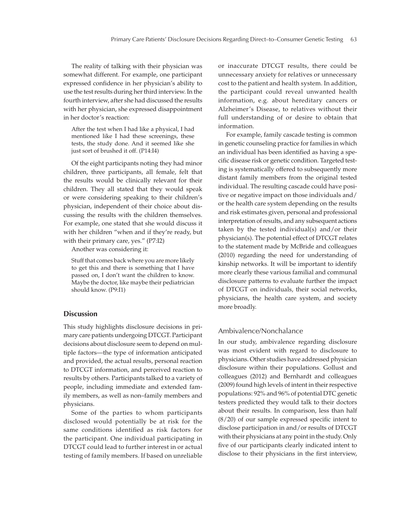The reality of talking with their physician was somewhat different. For example, one participant expressed confidence in her physician's ability to use the test results during her third interview. In the fourth interview, after she had discussed the results with her physician, she expressed disappointment in her doctor's reaction:

After the test when I had like a physical, I had mentioned like I had these screenings, these tests, the study done. And it seemed like she just sort of brushed it off. (P14:I4)

Of the eight participants noting they had minor children, three participants, all female, felt that the results would be clinically relevant for their children. They all stated that they would speak or were considering speaking to their children's physician, independent of their choice about discussing the results with the children themselves. For example, one stated that she would discuss it with her children "when and if they're ready, but with their primary care, yes." (P7:I2)

Another was considering it:

Stuff that comes back where you are more likely to get this and there is something that I have passed on, I don't want the children to know. Maybe the doctor, like maybe their pediatrician should know. (P9:I1)

#### **Discussion**

This study highlights disclosure decisions in primary care patients undergoing DTCGT. Participant decisions about disclosure seem to depend on multiple factors—the type of information anticipated and provided, the actual results, personal reaction to DTCGT information, and perceived reaction to results by others. Participants talked to a variety of people, including immediate and extended family members, as well as non–family members and physicians.

Some of the parties to whom participants disclosed would potentially be at risk for the same conditions identified as risk factors for the participant. One individual participating in DTCGT could lead to further interest in or actual testing of family members. If based on unreliable

or inaccurate DTCGT results, there could be unnecessary anxiety for relatives or unnecessary cost to the patient and health system. In addition, the participant could reveal unwanted health information, e.g. about hereditary cancers or Alzheimer's Disease, to relatives without their full understanding of or desire to obtain that information.

For example, family cascade testing is common in genetic counseling practice for families in which an individual has been identified as having a specific disease risk or genetic condition. Targeted testing is systematically offered to subsequently more distant family members from the original tested individual. The resulting cascade could have positive or negative impact on those individuals and/ or the health care system depending on the results and risk estimates given, personal and professional interpretation of results, and any subsequent actions taken by the tested individual(s) and/or their physician(s). The potential effect of DTCGT relates to the statement made by McBride and colleagues (2010) regarding the need for understanding of kinship networks. It will be important to identify more clearly these various familial and communal disclosure patterns to evaluate further the impact of DTCGT on individuals, their social networks, physicians, the health care system, and society more broadly.

## Ambivalence/Nonchalance

In our study, ambivalence regarding disclosure was most evident with regard to disclosure to physicians. Other studies have addressed physician disclosure within their populations. Gollust and colleagues (2012) and Bernhardt and colleagues (2009) found high levels of intent in their respective populations: 92% and 96% of potential DTC genetic testers predicted they would talk to their doctors about their results. In comparison, less than half  $(8/20)$  of our sample expressed specific intent to disclose participation in and/or results of DTCGT with their physicians at any point in the study. Only five of our participants clearly indicated intent to disclose to their physicians in the first interview,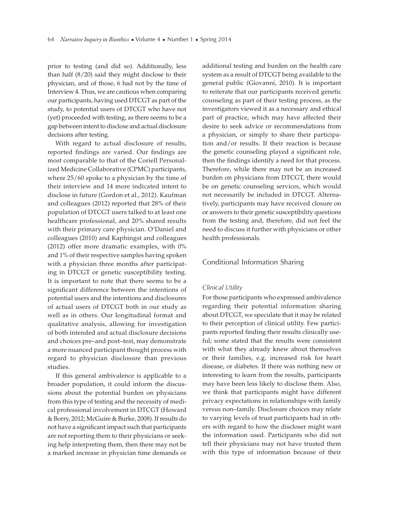prior to testing (and did so). Additionally, less than half (8/20) said they might disclose to their physician, and of those, 6 had not by the time of Interview 4. Thus, we are cautious when comparing our participants, having used DTCGT as part of the study, to potential users of DTCGT who have not (yet) proceeded with testing, as there seems to be a gap between intent to disclose and actual disclosure decisions after testing.

With regard to actual disclosure of results, reported findings are varied. Our findings are most comparable to that of the Coriell Personalized Medicine Collaborative (CPMC) participants, where 25/60 spoke to a physician by the time of their interview and 14 more indicated intent to disclose in future (Gordon et al., 2012). Kaufman and colleagues (2012) reported that 28% of their population of DTCGT users talked to at least one healthcare professional, and 20% shared results with their primary care physician. O'Daniel and colleagues (2010) and Kaphingst and colleagues (2012) offer more dramatic examples, with 0% and 1% of their respective samples having spoken with a physician three months after participating in DTCGT or genetic susceptibility testing. It is important to note that there seems to be a significant difference between the intentions of potential users and the intentions and disclosures of actual users of DTCGT both in our study as well as in others. Our longitudinal format and qualitative analysis, allowing for investigation of both intended and actual disclosure decisions and choices pre–and post–test, may demonstrate a more nuanced participant thought process with regard to physician disclosure than previous studies.

If this general ambivalence is applicable to a broader population, it could inform the discussions about the potential burden on physicians from this type of testing and the necessity of medical professional involvement in DTCGT (Howard & Borry, 2012; McGuire & Burke, 2008). If results do not have a significant impact such that participants are not reporting them to their physicians or seeking help interpreting them, then there may not be a marked increase in physician time demands or

additional testing and burden on the health care system as a result of DTCGT being available to the general public (Giovanni, 2010). It is important to reiterate that our participants received genetic counseling as part of their testing process, as the investigators viewed it as a necessary and ethical part of practice, which may have affected their desire to seek advice or recommendations from a physician, or simply to share their participation and/or results. If their reaction is because the genetic counseling played a significant role, then the findings identify a need for that process. Therefore, while there may not be an increased burden on physicians from DTCGT, there would be on genetic counseling services, which would not necessarily be included in DTCGT. Alternatively, participants may have received closure on or answers to their genetic susceptibility questions from the testing and, therefore, did not feel the need to discuss it further with physicians or other health professionals.

#### Conditional Information Sharing

#### *Clinical Utility*

For those participants who expressed ambivalence regarding their potential information sharing about DTCGT, we speculate that it may be related to their perception of clinical utility. Few participants reported finding their results clinically useful; some stated that the results were consistent with what they already knew about themselves or their families, e.g. increased risk for heart disease, or diabetes. If there was nothing new or interesting to learn from the results, participants may have been less likely to disclose them. Also, we think that participants might have different privacy expectations in relationships with family versus non–family. Disclosure choices may relate to varying levels of trust participants had in others with regard to how the discloser might want the information used. Participants who did not tell their physicians may not have trusted them with this type of information because of their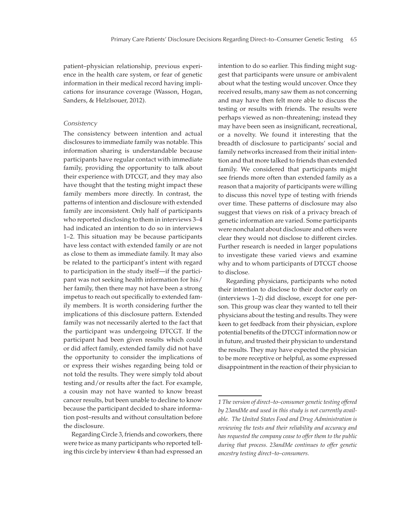patient–physician relationship, previous experience in the health care system, or fear of genetic information in their medical record having implications for insurance coverage (Wasson, Hogan, Sanders, & Helzlsouer, 2012).

#### *Consistency*

The consistency between intention and actual disclosures to immediate family was notable. This information sharing is understandable because participants have regular contact with immediate family, providing the opportunity to talk about their experience with DTCGT, and they may also have thought that the testing might impact these family members more directly. In contrast, the patterns of intention and disclosure with extended family are inconsistent. Only half of participants who reported disclosing to them in interviews 3–4 had indicated an intention to do so in interviews 1–2. This situation may be because participants have less contact with extended family or are not as close to them as immediate family. It may also be related to the participant's intent with regard to participation in the study itself—if the participant was not seeking health information for his/ her family, then there may not have been a strong impetus to reach out specifically to extended family members. It is worth considering further the implications of this disclosure pattern. Extended family was not necessarily alerted to the fact that the participant was undergoing DTCGT. If the participant had been given results which could or did affect family, extended family did not have the opportunity to consider the implications of or express their wishes regarding being told or not told the results. They were simply told about testing and/or results after the fact. For example, a cousin may not have wanted to know breast cancer results, but been unable to decline to know because the participant decided to share information post–results and without consultation before the disclosure.

Regarding Circle 3, friends and coworkers, there were twice as many participants who reported telling this circle by interview 4 than had expressed an intention to do so earlier. This finding might suggest that participants were unsure or ambivalent about what the testing would uncover. Once they received results, many saw them as not concerning and may have then felt more able to discuss the testing or results with friends. The results were perhaps viewed as non–threatening; instead they may have been seen as insignificant, recreational, or a novelty. We found it interesting that the breadth of disclosure to participants' social and family networks increased from their initial intention and that more talked to friends than extended family. We considered that participants might see friends more often than extended family as a reason that a majority of participants were willing to discuss this novel type of testing with friends over time. These patterns of disclosure may also suggest that views on risk of a privacy breach of genetic information are varied. Some participants were nonchalant about disclosure and others were clear they would not disclose to different circles. Further research is needed in larger populations to investigate these varied views and examine why and to whom participants of DTCGT choose to disclose.

Regarding physicians, participants who noted their intention to disclose to their doctor early on (interviews 1–2) did disclose, except for one person. This group was clear they wanted to tell their physicians about the testing and results. They were keen to get feedback from their physician, explore potential benefits of the DTCGT information now or in future, and trusted their physician to understand the results. They may have expected the physician to be more receptive or helpful, as some expressed disappointment in the reaction of their physician to

*<sup>1</sup> The version of direct–to–consumer genetic testing offered by 23andMe and used in this study is not currently available. The United States Food and Drug Administration is reviewing the tests and their reliability and accuracy and has requested the company cease to offer them to the public during that process. 23andMe continues to offer genetic ancestry testing direct–to–consumers.*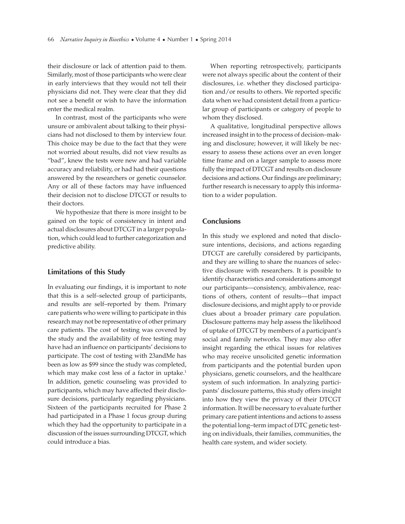their disclosure or lack of attention paid to them. Similarly, most of those participants who were clear in early interviews that they would not tell their physicians did not. They were clear that they did not see a benefit or wish to have the information enter the medical realm.

In contrast, most of the participants who were unsure or ambivalent about talking to their physicians had not disclosed to them by interview four. This choice may be due to the fact that they were not worried about results, did not view results as "bad", knew the tests were new and had variable accuracy and reliability, or had had their questions answered by the researchers or genetic counselor. Any or all of these factors may have influenced their decision not to disclose DTCGT or results to their doctors.

We hypothesize that there is more insight to be gained on the topic of consistency in intent and actual disclosures about DTCGT in a larger population, which could lead to further categorization and predictive ability.

#### **Limitations of this Study**

In evaluating our findings, it is important to note that this is a self–selected group of participants, and results are self–reported by them. Primary care patients who were willing to participate in this research may not be representative of other primary care patients. The cost of testing was covered by the study and the availability of free testing may have had an influence on participants' decisions to participate. The cost of testing with 23andMe has been as low as \$99 since the study was completed, which may make cost less of a factor in uptake.<sup>1</sup> In addition, genetic counseling was provided to participants, which may have affected their disclosure decisions, particularly regarding physicians. Sixteen of the participants recruited for Phase 2 had participated in a Phase 1 focus group during which they had the opportunity to participate in a discussion of the issues surrounding DTCGT, which could introduce a bias.

When reporting retrospectively, participants were not always specific about the content of their disclosures, i.e. whether they disclosed participation and/or results to others. We reported specific data when we had consistent detail from a particular group of participants or category of people to whom they disclosed.

A qualitative, longitudinal perspective allows increased insight in to the process of decision–making and disclosure; however, it will likely be necessary to assess these actions over an even longer time frame and on a larger sample to assess more fully the impact of DTCGT and results on disclosure decisions and actions. Our findings are preliminary; further research is necessary to apply this information to a wider population.

### **Conclusions**

In this study we explored and noted that disclosure intentions, decisions, and actions regarding DTCGT are carefully considered by participants, and they are willing to share the nuances of selective disclosure with researchers. It is possible to identify characteristics and considerations amongst our participants—consistency, ambivalence, reactions of others, content of results—that impact disclosure decisions, and might apply to or provide clues about a broader primary care population. Disclosure patterns may help assess the likelihood of uptake of DTCGT by members of a participant's social and family networks. They may also offer insight regarding the ethical issues for relatives who may receive unsolicited genetic information from participants and the potential burden upon physicians, genetic counselors, and the healthcare system of such information. In analyzing participants' disclosure patterns, this study offers insight into how they view the privacy of their DTCGT information. It will be necessary to evaluate further primary care patient intentions and actions to assess the potential long–term impact of DTC genetic testing on individuals, their families, communities, the health care system, and wider society.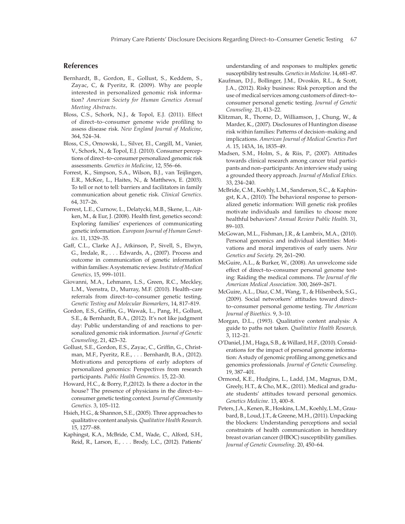# **References**

- Bernhardt, B., Gordon, E., Gollust, S., Keddem, S., Zayac, C, & Pyeritz, R. (2009). Why are people interested in personalized genomic risk information? *American Society for Human Genetics Annual Meeting Abstracts*.
- Bloss, C.S., Schork, N.J., & Topol, E.J. (2011). Effect of direct–to–consumer genome wide profiling to assess disease risk. *New England Journal of Medicine*, 364, 524–34.
- Bloss, C.S., Ornowski, L., Silver, El., Cargill, M., Vanier, V., Schork, N., & Topol, E.J. (2010). Consumer perceptions of direct–to–consumer personalized genomic risk assessments. *Genetics in Medicine*, 12, 556–66.
- Forrest, K., Simpson, S.A., Wilson, B.J., van Teijlingen, E.R., McKee, L., Haites, N., & Matthews, E. (2003). To tell or not to tell: barriers and facilitators in family communication about genetic risk. *Clinical Genetics*. 64, 317–26.
- Forrest, L.E., Curnow, L., Delatycki, M.B., Skene, L., Aitken, M., & Eur, J. (2008). Health first, genetics second: Exploring families' experiences of communicating genetic information. *European Journal of Human Genetics.* 11, 1329–35.
- Gaff, C.L., Clarke A.J., Atkinson, P., Sivell, S., Elwyn, G., Iredale, R., . . . Edwards, A., (2007). Process and outcome in communication of genetic information within families: A systematic review. *Institute of Medical Genetics,* 15, 999–1011.
- Giovanni, M.A., Lehmann, L.S., Green, R.C., Meckley, L.M., Veenstra, D., Murray, M.F. (2010). Health–care referrals from direct–to–consumer genetic testing. *Genetic Testing and Molecular Biomarkers*, 14, 817–819.
- Gordon, E.S., Griffin, G., Wawak, L., Pang, H., Gollust, S.E., & Bernhardt, B.A., (2012). It's not like judgment day: Public understanding of and reactions to personalized genomic risk information. *Journal of Genetic Counseling*, 21, 423–32.
- Gollust, S.E., Gordon, E.S., Zayac, C., Griffin, G., Christman, M.F., Pyeritz, R.E., . . . Bernhardt, B.A., (2012). Motivations and perceptions of early adopters of personalized genomics: Perspectives from research participants. *Public Health Genomics*. 15, 22–30.
- Howard, H.C., & Borry, P.,(2012). Is there a doctor in the house? The presence of physicians in the direct–to– consumer genetic testing context*. Journal of Community Genetics*. 3, 105–112.
- Hsieh, H.G., & Shannon, S.E., (2005). Three approaches to qualitative content analysis. *Qualitative Health Research*. 15, 1277–88.
- Kaphingst, K.A., McBride, C.M., Wade, C., Alford, S.H., Reid, R., Larson, E., . . . Brody, L.C., (2012). Patients'

understanding of and responses to multiplex genetic susceptibility test results. *Genetics in Medicine*. 14, 681–87.

- Kaufman, D.J., Bollinger, J.M., Dvoskin, R.L., & Scott, J.A., (2012). Risky business: Risk perception and the use of medical services among customers of direct–to– consumer personal genetic testing. *Journal of Genetic Counseling*. 21, 413–22.
- Klitzman, R., Thorne, D., Williamson, J., Chung, W., & Marder, K., (2007). Disclosures of Huntington disease risk within families: Patterns of decision–making and implications. *American Journal of Medical Genetics Part A*. 15, 143A, 16, 1835–49.
- Madsen, S.M., Holm, S., & Riis, P., (2007). Attitudes towards clinical research among cancer trial participants and non–participants: An interview study using a grounded theory approach. *Journal of Medical Ethics.* 33, 234–240.
- McBride, C.M., Koehly, L.M., Sanderson, S.C., & Kaphingst, K.A., (2010). The behavioral response to personalized genetic information: Will genetic risk profiles motivate individuals and families to choose more healthful behaviors? *Annual Review Public Health*. 31, 89–103.
- McGowan, M.L., Fishman, J.R., & Lambrix, M.A., (2010). Personal genomics and individual identities: Motivations and moral imperatives of early users. *New Genetics and Society*. 29, 261–290.
- McGuire, A.L., & Burker, W., (2008). An unwelcome side effect of direct–to–consumer personal genome testing: Raiding the medical commons. *The Journal of the American Medical Association.* 300, 2669–2671.
- McGuire, A.L., Diaz, C.M., Wang, T., & Hilsenbeck, S.G., (2009). Social networkers' attitudes toward direct– to–consumer personal genome testing. *The American Journal of Bioethics.* 9, 3–10.
- Morgan, D.L., (1993). Qualitative content analysis: A guide to paths not taken. *Qualitative Health Research.* 3, 112–21.
- O'Daniel, J.M., Haga, S.B., & Willard, H.F., (2010). Considerations for the impact of personal genome information: A study of genomic profiling among genetics and genomics professionals. *Journal of Genetic Counseling*. 19, 387–401.
- Ormond, K.E., Hudgins, L., Ladd, J.M., Magnus, D.M., Greely, H.T., & Cho, M.K., (2011). Medical and graduate students' attitudes toward personal genomics. *Genetics Medicine*. 13, 400–8.
- Peters, J.A., Kenen, R., Hoskins, L.M., Koehly, L.M., Graubard, B., Loud, J.T., & Greene, M.H., (2011). Unpacking the blockers: Understanding perceptions and social constraints of health communication in hereditary breast ovarian cancer (HBOC) susceptibility gamilies. *Journal of Genetic Counseling*. 20, 450–64.